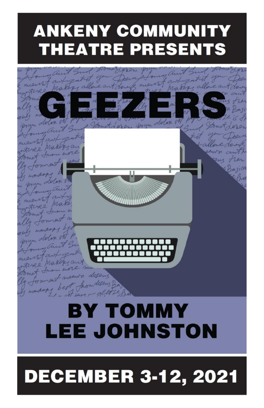# **ANKENY COMMUNITY THEATRE PRESENTS**



# **DECEMBER 3-12, 2021**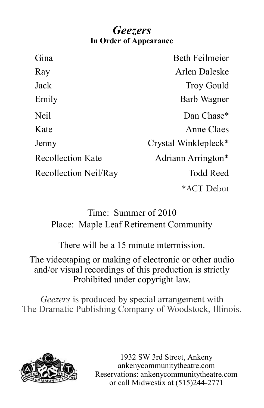## *Geezers* **In Order of Appearance**

| Gina                     | <b>Beth Feilmeier</b>            |
|--------------------------|----------------------------------|
| Ray                      | Arlen Daleske                    |
| Jack                     | <b>Troy Gould</b>                |
| Emily                    | Barb Wagner                      |
| Neil                     | Dan Chase*                       |
| Kate                     | Anne Claes                       |
| Jenny                    | Crystal Winklepleck <sup>*</sup> |
| <b>Recollection Kate</b> | Adriann Arrington*               |
| Recollection Neil/Ray    | <b>Todd Reed</b>                 |
|                          | *ACT Debut                       |

## Time: Summer of 2010 Place: Maple Leaf Retirement Community

There will be a 15 minute intermission.

The videotaping or making of electronic or other audio and/or visual recordings of this production is strictly Prohibited under copyright law.

*Geezers* is produced by special arrangement with The Dramatic Publishing Company of Woodstock, Illinois.



1932 SW 3rd Street, Ankeny ankenycommunitytheatre.com Reservations: ankenycommunitytheatre.com or call Midwestix at (515)244-2771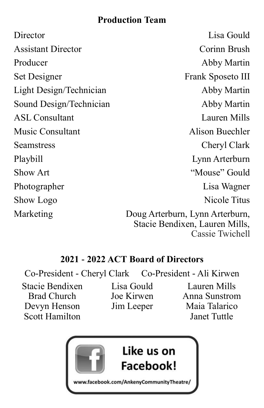## **Production Team**

| Director                  | Lisa Gould                                                                           |
|---------------------------|--------------------------------------------------------------------------------------|
| <b>Assistant Director</b> | Corinn Brush                                                                         |
| Producer                  | Abby Martin                                                                          |
| Set Designer              | Frank Sposeto III                                                                    |
| Light Design/Technician   | Abby Martin                                                                          |
| Sound Design/Technician   | Abby Martin                                                                          |
| <b>ASL Consultant</b>     | Lauren Mills                                                                         |
| Music Consultant          | Alison Buechler                                                                      |
| Seamstress                | Cheryl Clark                                                                         |
| Playbill                  | Lynn Arterburn                                                                       |
| Show Art                  | "Mouse" Gould                                                                        |
| Photographer              | Lisa Wagner                                                                          |
| Show Logo                 | Nicole Titus                                                                         |
| Marketing                 | Doug Arterburn, Lynn Arterburn,<br>Stacie Bendixen, Lauren Mills,<br>Cassie Twichell |

## **2021 - 2022 ACT Board of Directors**

Co-President - Cheryl Clark Co-President - Ali Kirwen

Stacie Bendixen<br>
Brad Church<br>
Joe Kirwen<br>
Anna Sunstron Devyn Henson Jim Leeper Maia Talarico Scott Hamilton Janet Tuttle

Brad Church Joe Kirwen Anna Sunstrom

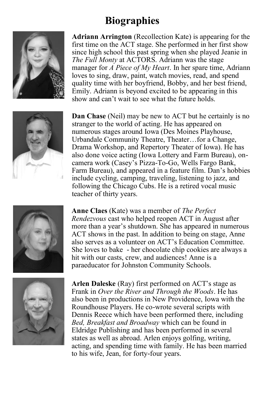## **Biographies**



**Adriann Arrington** (Recollection Kate) is appearing for the first time on the ACT stage. She performed in her first show since high school this past spring when she played Jeanie in *The Full Monty* at ACTORS. Adriann was the stage manager for *A Piece of My Heart*. In her spare time, Adriann loves to sing, draw, paint, watch movies, read, and spend quality time with her boyfriend, Bobby, and her best friend, Emily. Adriann is beyond excited to be appearing in this show and can't wait to see what the future holds.



**Dan Chase** (Neil) may be new to ACT but he certainly is no stranger to the world of acting. He has appeared on numerous stages around Iowa (Des Moines Playhouse, Urbandale Community Theatre, Theater...for a Change, Drama Workshop, and Repertory Theater of Iowa). He has also done voice acting (Iowa Lottery and Farm Bureau), oncamera work (Casey's Pizza-To-Go, Wells Fargo Bank, Farm Bureau), and appeared in a feature film. Dan's hobbies include cycling, camping, traveling, listening to jazz, and following the Chicago Cubs. He is a retired vocal music teacher of thirty years.



**Anne Claes** (Kate) was a member of *The Perfect Rendezvous* cast who helped reopen ACT in August after more than a year's shutdown. She has appeared in numerous ACT shows in the past. In addition to being on stage, Anne also serves as a volunteer on ACT's Education Committee. She loves to bake - her chocolate chip cookies are always a hit with our casts, crew, and audiences! Anne is a paraeducator for Johnston Community Schools.



**Arlen Daleske** (Ray) first performed on ACT's stage as Frank in *Over the River and Through the Woods*. He has also been in productions in New Providence, Iowa with the Roundhouse Players. He co-wrote several scripts with Dennis Reece which have been performed there, including *Bed, Breakfast and Broadway* which can be found in Eldridge Publishing and has been performed in several states as well as abroad. Arlen enjoys golfing, writing, acting, and spending time with family. He has been married to his wife, Jean, for forty-four years.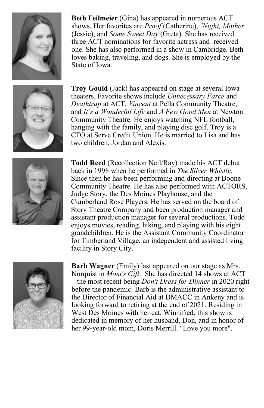

**Beth Feilmeier** (Gina) has appeared in numerous ACT shows. Her favorites are *Proof* (Catherine), *'Night, Mother*  (Jessie), and *Some Sweet Day* (Greta). She has received three ACT nominations for favorite actress and received one. She has also performed in a show in Cambridge. Beth loves baking, traveling, and dogs. She is employed by the State of Iowa.



**Troy Gould** (Jack) has appeared on stage at several Iowa theaters. Favorite shows include *Unnecessary Farce* and *Deathtrap* at ACT, *Vincent* at Pella Community Theatre, and *It's a Wonderful Life* and *A Few Good Men* at Newton Community Theatre. He enjoys watching NFL football, hanging with the family, and playing disc golf. Troy is a CFO at Serve Credit Union. He is married to Lisa and has two children, Jordan and Alexis.



**Todd Reed** (Recollection Neil/Ray) made his ACT debut back in 1998 when he performed in *The Silver Whistle.*  Since then he has been performing and directing at Boone Community Theatre. He has also performed with ACTORS, Judge Story, the Des Moines Playhouse, and the Cumberland Rose Players. He has served on the board of Story Theatre Company and been production manager and assistant production manager for several productions. Todd enjoys movies, reading, hiking, and playing with his eight grandchildren. He is the Assistant Community Coordinator for Timberland Village, an independent and assisted living facility in Story City.



**Barb Wagner** (Emily) last appeared on our stage as Mrs. Norquist in *Mom's Gift*. She has directed 14 shows at ACT – the most recent being *Don't Dress for Dinner* in 2020 right before the pandemic. Barb is the administrative assistant to the Director of Financial Aid at DMACC in Ankeny and is looking forward to retiring at the end of 2021. Residing in West Des Moines with her cat, Winnifred, this show is dedicated in memory of her husband, Don, and in honor of her 99-year-old mom, Doris Merrill. "Love you more".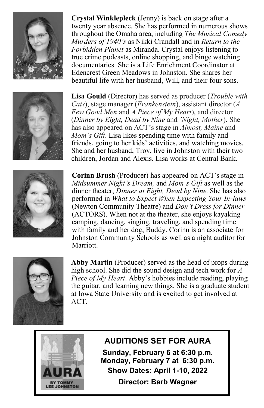

**Crystal Winklepleck** (Jenny) is back on stage after a twenty year absence. She has performed in numerous shows throughout the Omaha area, including *The Musical Comedy Murders of 1940's* as Nikki Crandall and in *Return to the Forbidden Planet* as Miranda. Crystal enjoys listening to true crime podcasts, online shopping, and binge watching documentaries. She is a Life Enrichment Coordinator at Edencrest Green Meadows in Johnston. She shares her beautiful life with her husband, Will, and their four sons.



**Lisa Gould** (Director) has served as producer (*Trouble with Cats*), stage manager (*Frankenstein*), assistant director (*A Few Good Men* and *A Piece of My Heart*), and director (*Dinner by Eight, Dead by Nine* and *'Night, Mother*). She has also appeared on ACT's stage in *Almost, Maine* and *Mom's Gift*. Lisa likes spending time with family and friends, going to her kids' activities, and watching movies. She and her husband, Troy, live in Johnston with their two children, Jordan and Alexis. Lisa works at Central Bank.



**Corinn Brush** (Producer) has appeared on ACT's stage in *Midsummer Night's Dream,* and *Mom's Gift* as well as the dinner theater, *Dinner at Eight, Dead by Nine*. She has also performed in *What to Expect When Expecting Your In-laws*  (Newton Community Theatre) and *Don't Dress for Dinner*  (ACTORS). When not at the theater, she enjoys kayaking camping, dancing, singing, traveling, and spending time with family and her dog, Buddy. Corinn is an associate for Johnston Community Schools as well as a night auditor for Marriott.



**Abby Martin** (Producer) served as the head of props during high school. She did the sound design and tech work for *A Piece of My Heart*. Abby's hobbies include reading, playing the guitar, and learning new things. She is a graduate student at Iowa State University and is excited to get involved at ACT.



## **AUDITIONS SET FOR AURA**

**Sunday, February 6 at 6:30 p.m. Monday, February 7 at 6:30 p.m. Show Dates: April 1-10, 2022**

**Director: Barb Wagner**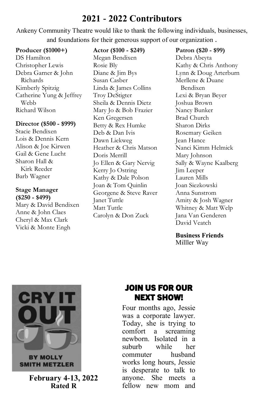## **2021 - 2022 Contributors**

Ankeny Community Theatre would like to thank the following individuals, businesses, and foundations for their generous support of our organization .

#### **Producer (\$1000+)**

DS Hamilton Christopher Lewis Debra Garner & John Richards Kimberly Spitzig Catherine Yung & Jeffrey Webb Richard Wilson

#### **Director (\$500 - \$999)**

Stacie Bendixen Lois & Dennis Kern Alison & Joe Kirwen Gail & Gene Lucht Sharon Hall & Kirk Reeder Barb Wagner

#### **Stage Manager (\$250 - \$499)**

Mary & David Bendixen Anne & John Claes Cheryl & Max Clark Vicki & Monte Engh

#### **Actor (\$100 - \$249)**

Megan Bendixen Rosie Bly Diane & Jim Bys Susan Casber Linda & James Collins Troy DeStigter Sheila & Dennis Dietz Mary Jo & Bob Frazier Ken Gregersen Betty & Rex Humke Deb & Dan Ivis Dawn Liekweg Heather & Chris Matson Doris Merrill Jo Ellen & Gary Nervig Kerry Jo Ostring Kathy & Dale Polson Joan & Tom Quinlin Georgene & Steve Raver Janet Tuttle Matt Tuttle Carolyn & Don Zuck

**Patron (\$20 - \$99)** Debra Abeyta Kathy & Chris Anthony Lynn & Doug Arterburn Merllene & Duane Bendixen Lexi & Bryan Beyer Joshua Brown Nancy Bunker Brad Church Sharon Dirks Rosemary Geiken Jean Hance Nanci Kimm Helmick Mary Johnson Sally & Wayne Kaalberg Jim Leeper Lauren Mills Joan Siezkowski Anna Sunstrom Amity & Josh Wagner Whitney & Matt Welp Jana Van Genderen David Veatch

#### **Business Friends**

Milller Way



**February 4-13, 2022 Rated R**

## JOIN US FOR OUR NEXT SHOW!

Four months ago, Jessie was a corporate lawyer. Today, she is trying to comfort a screaming newborn. Isolated in a suburb while her commuter husband works long hours, Jessie is desperate to talk to anyone. She meets a fellow new mom and